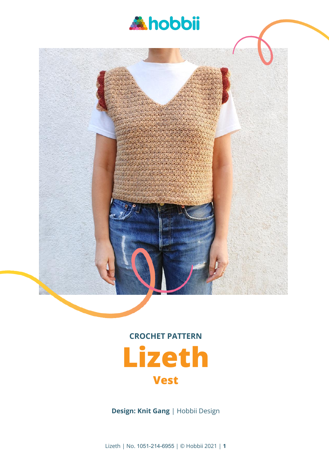



# **CROCHET PATTERN Lizeth**

### **Vest**

**Design: Knit Gang** | Hobbii Design

Lizeth | No. 1051-214-6955 | © Hobbii 2021 | **1**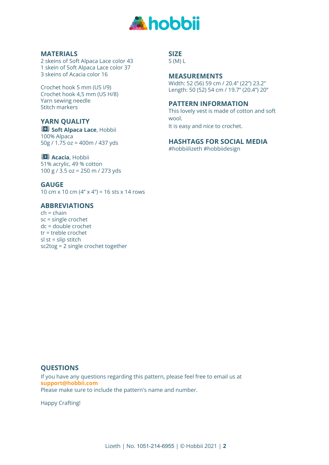

#### **MATERIALS**

2 skeins of Soft Alpaca Lace color 43 1 skein of Soft Alpaca Lace color 37 3 skeins of Acacia color 16

Crochet hook 5 mm (US I/9) Crochet hook 4,5 mm (US H/8) Yarn sewing needle Stitch markers

#### **YARN QUALITY**

**Soft Alpaca Lace**, Hobbii 100% Alpaca 50g / 1.75 oz = 400m / 437 yds

#### **B** Acacia, Hobbii

51% acrylic, 49 % cotton 100 g / 3.5 oz = 250 m / 273 yds

**GAUGE** 10 cm x 10 cm (4" x 4") = 16 sts x 14 rows

#### **ABBREVIATIONS**

 $ch = chain$ sc = single crochet dc = double crochet tr = treble crochet  $sl$  st = slip stitch sc2tog = 2 single crochet together

#### **SIZE**

S (M) L

#### **MEASUREMENTS**

Width: 52 (56) 59 cm / 20.4" (22") 23.2" Length: 50 (52) 54 cm / 19.7" (20.4") 20"

#### **PATTERN INFORMATION**

This lovely vest is made of cotton and soft wool. It is easy and nice to crochet.

**HASHTAGS FOR SOCIAL MEDIA**

#hobbiilizeth #hobbiidesign

#### **QUESTIONS**

If you have any questions regarding this pattern, please feel free to email us at **support@hobbii.com** Please make sure to include the pattern's name and number.

Happy Crafting!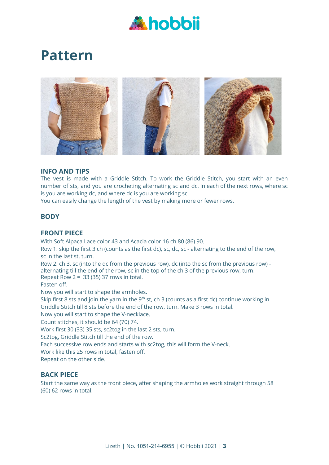

## **Pattern**



#### **INFO AND TIPS**

The vest is made with a Griddle Stitch. To work the Griddle Stitch, you start with an even number of sts, and you are crocheting alternating sc and dc. In each of the next rows, where sc is you are working dc, and where dc is you are working sc.

You can easily change the length of the vest by making more or fewer rows.

#### **BODY**

#### **FRONT PIECE**

With Soft Alpaca Lace color 43 and Acacia color 16 ch 80 (86) 90.

Row 1: skip the first 3 ch (counts as the first dc), sc, dc, sc - alternating to the end of the row, sc in the last st, turn.

Row 2: ch 3, sc (into the dc from the previous row), dc (into the sc from the previous row) alternating till the end of the row, sc in the top of the ch 3 of the previous row, turn. Repeat Row 2 =  $33(35)37$  rows in total.

Fasten off.

Now you will start to shape the armholes.

Skip first 8 sts and join the yarn in the 9<sup>th</sup> st, ch 3 (counts as a first dc) continue working in Griddle Stitch till 8 sts before the end of the row, turn. Make 3 rows in total.

Now you will start to shape the V-necklace.

Count stitches, it should be 64 (70) 74.

Work first 30 (33) 35 sts, sc2tog in the last 2 sts, turn.

Sc2tog, Griddle Stitch till the end of the row.

Each successive row ends and starts with sc2tog, this will form the V-neck.

Work like this 25 rows in total, fasten off.

Repeat on the other side.

#### **BACK PIECE**

Start the same way as the front piece**,** after shaping the armholes work straight through 58 (60) 62 rows in total.